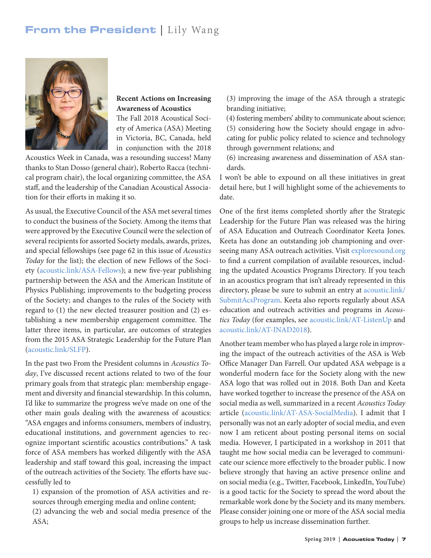## From the President | Lily Wang



## **Recent Actions on Increasing Awareness of Acoustics**

The Fall 2018 Acoustical Society of America (ASA) Meeting in Victoria, BC, Canada, held in conjunction with the 2018

Acoustics Week in Canada, was a resounding success! Many thanks to Stan Dosso (general chair), Roberto Racca (technical program chair), the local organizing committee, the ASA staff, and the leadership of the Canadian Acoustical Association for their efforts in making it so.

As usual, the Executive Council of the ASA met several times to conduct the business of the Society. Among the items that were approved by the Executive Council were the selection of several recipients for assorted Society medals, awards, prizes, and special fellowships (see page 62 in this issue of *Acoustics Today* for the list); the election of new Fellows of the Society ([acoustic.link/ASA-Fellows\);](acoustic.link/ASA-Fellows) a new five-year publishing partnership between the ASA and the American Institute of Physics Publishing; improvements to the budgeting process of the Society; and changes to the rules of the Society with regard to (1) the new elected treasurer position and (2) establishing a new membership engagement committee. The latter three items, in particular, are outcomes of strategies from the 2015 ASA Strategic Leadership for the Future Plan ([acoustic.link/SLFP\)](https://acoustic.link/SLFP).

In the past two From the President columns in *Acoustics Today*, I've discussed recent actions related to two of the four primary goals from that strategic plan: membership engagement and diversity and financial stewardship. In this column, I'd like to summarize the progress we've made on one of the other main goals dealing with the awareness of acoustics: "ASA engages and informs consumers, members of industry, educational institutions, and government agencies to recognize important scientific acoustics contributions." A task force of ASA members has worked diligently with the ASA leadership and staff toward this goal, increasing the impact of the outreach activities of the Society. The efforts have successfully led to

1) expansion of the promotion of ASA activities and resources through emerging media and online content; (2) advancing the web and social media presence of the ASA;

(3) improving the image of the ASA through a strategic branding initiative;

(4) fostering members' ability to communicate about science; (5) considering how the Society should engage in advocating for public policy related to science and technology through government relations; and

(6) increasing awareness and dissemination of ASA standards.

I won't be able to expound on all these initiatives in great detail here, but I will highlight some of the achievements to date.

One of the first items completed shortly after the Strategic Leadership for the Future Plan was released was the hiring of ASA Education and Outreach Coordinator Keeta Jones. Keeta has done an outstanding job championing and overseeing many ASA outreach activities. Visit [exploresound.org](https://exploresound.org/) to find a current compilation of available resources, including the updated Acoustics Programs Directory. If you teach in an acoustics program that isn't already represented in this directory, please be sure to submit an entry at [acoustic.link/](https://acoustic.link/SubmitAcsProgram) [SubmitAcsProgram](https://acoustic.link/SubmitAcsProgram). Keeta also reports regularly about ASA education and outreach activities and programs in *Acoustics Today* (for examples, see [acoustic.link/AT-ListenUp](https://acoustic.link/AT-ListenUp) and [acoustic.link/AT-INAD2018](https://acoustic.link/AT-INAD2018)).

Another team member who has played a large role in improving the impact of the outreach activities of the ASA is Web Office Manager Dan Farrell. Our updated ASA webpage is a wonderful modern face for the Society along with the new ASA logo that was rolled out in 2018. Both Dan and Keeta have worked together to increase the presence of the ASA on social media as well, summarized in a recent *Acoustics Today* article [\(acoustic.link/AT-ASA-SocialMedia\)](https://acoustic.link/AT-ASA-SocialMedia). I admit that I personally was not an early adopter of social media, and even now I am reticent about posting personal items on social media. However, I participated in a workshop in 2011 that taught me how social media can be leveraged to communicate our science more effectively to the broader public. I now believe strongly that having an active presence online and on social media (e.g., Twitter, Facebook, LinkedIn, YouTube) is a good tactic for the Society to spread the word about the remarkable work done by the Society and its many members. Please consider joining one or more of the ASA social media groups to help us increase dissemination further.